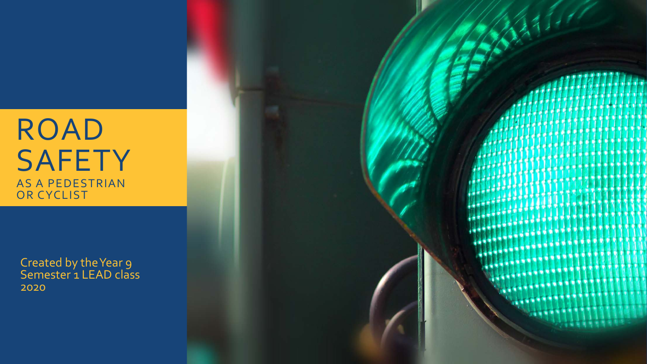#### ROAD **SAFETY** AS A PEDESTRIAN OR CYCLIST

Created by the Year 9 Semester 1 LEAD class 2020

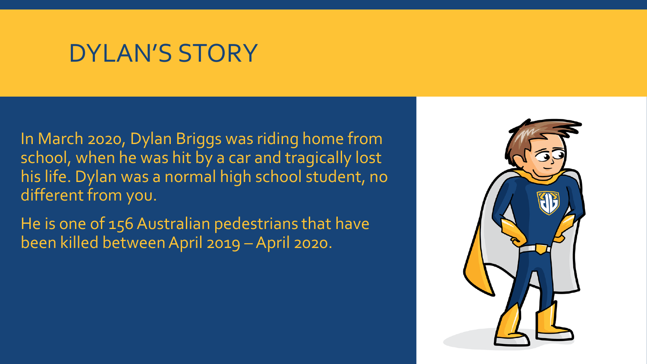### DYLAN'S STORY

In March 2020, Dylan Briggs was riding home from school, when he was hit by a car and tragically lost his life. Dylan was a normal high school student, no different from you.

He is one of 156 Australian pedestrians that have been killed between April 2019 –April 2020.

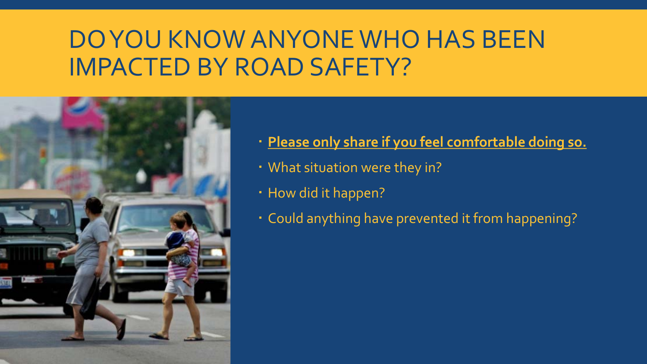# DO YOU KNOW ANYONE WHO HAS BEEN IMPACTED BY ROAD SAFETY?



- **Please only share if you feel comfortable doing so.**
- What situation were they in?
- How did it happen?
- Could anything have prevented it from happening?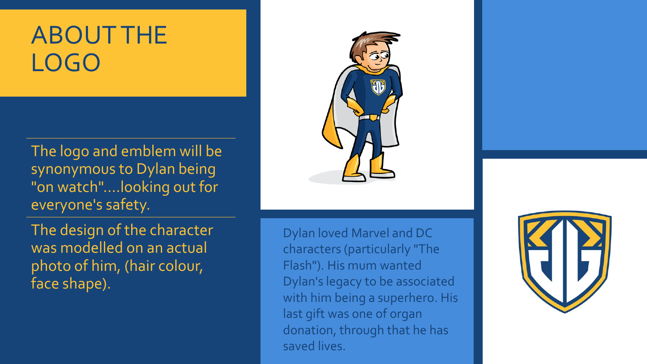# ABOUT THE LOGO

The logo and emblem will be synonymous to Dylan being "on watch"....looking out for everyone's safety.

The design of the character was modelled on an actual photo of him, (hair colour, face shape).

Dylan loved Marvel and DC characters (particularly "The Flash"). His mum wanted Dylan's legacy to be associated with him being a superhero. His last gift was one of organ donation, through that he has saved lives.

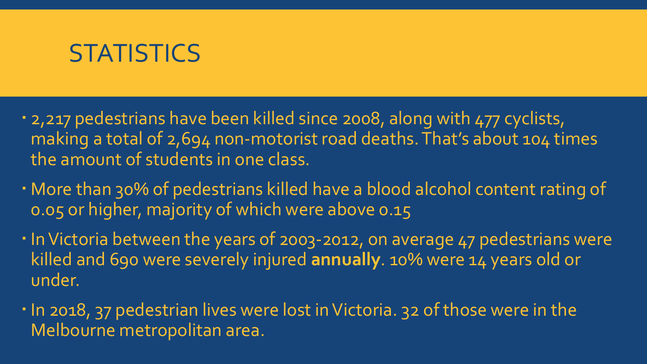#### **STATISTICS**

- 2,217 pedestrians have been killed since 2008, along with 477 cyclists, making a total of 2,694 non-motorist road deaths. That's about 104 times the amount of students in one class.
- More than 30% of pedestrians killed have a blood alcohol content rating of 0.05 or higher, majority of which were above 0.15
- . In Victoria between the years of 2003-2012, on average 47 pedestrians were killed and 690 were severely injured **annually**. 10% were 14 years old or under.
- . In 2018, 37 pedestrian lives were lost in Victoria. 32 of those were in the Melbourne metropolitan area.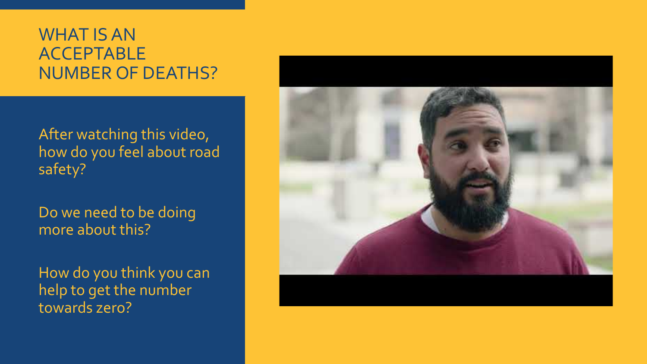#### WHAT IS AN ACCEPTABLE NUMBER OF DEATHS?

After watching this video, how do you feel about road safety?

Do we need to be doing more about this?

How do you think you can help to get the number towards zero?

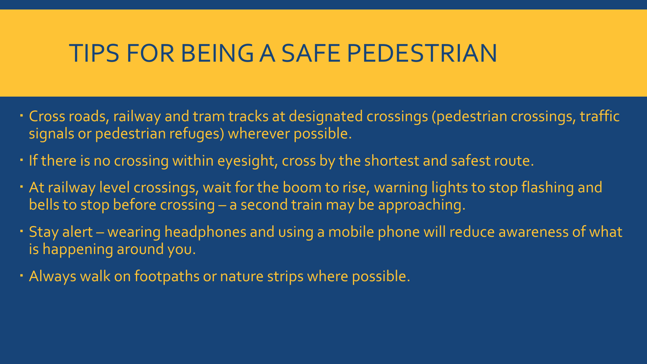### TIPS FOR BEING A SAFE PEDESTRIAN

- Cross roads, railway and tram tracks at designated crossings (pedestrian crossings, traffic signals or pedestrian refuges) wherever possible.
- If there is no crossing within eyesight, cross by the shortest and safest route.
- At railway level crossings, wait for the boom to rise, warning lights to stop flashing and bells to stop before crossing – a second train may be approaching.
- Stay alert wearing headphones and using a mobile phone will reduce awareness of what is happening around you.
- Always walk on footpaths or nature strips where possible.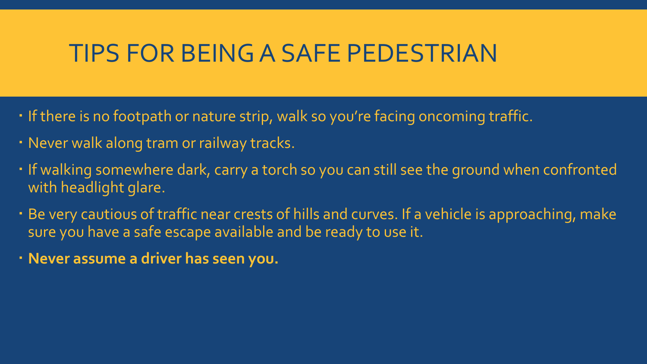### TIPS FOR BEING A SAFE PEDESTRIAN

- If there is no footpath or nature strip, walk so you're facing oncoming traffic.
- Never walk along tram or railway tracks.
- I If walking somewhere dark, carry a torch so you can still see the ground when confronted with headlight glare.
- Be very cautious of traffic near crests of hills and curves. If a vehicle is approaching, make sure you have a safe escape available and be ready to use it.
- **Never assume a driver has seen you.**